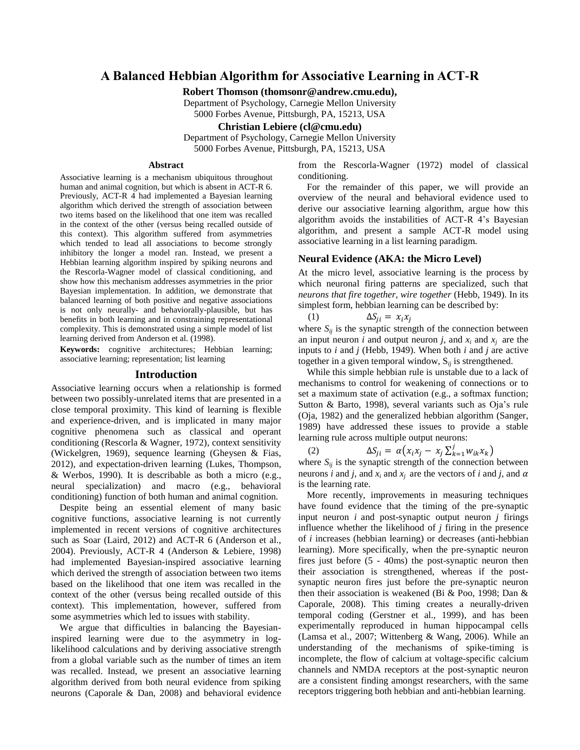# **A Balanced Hebbian Algorithm for Associative Learning in ACT-R**

**Robert Thomson (thomsonr@andrew.cmu.edu),** 

Department of Psychology, Carnegie Mellon University

5000 Forbes Avenue, Pittsburgh, PA, 15213, USA

**Christian Lebiere (cl@cmu.edu)**

Department of Psychology, Carnegie Mellon University

5000 Forbes Avenue, Pittsburgh, PA, 15213, USA

### **Abstract**

Associative learning is a mechanism ubiquitous throughout human and animal cognition, but which is absent in ACT-R 6. Previously, ACT-R 4 had implemented a Bayesian learning algorithm which derived the strength of association between two items based on the likelihood that one item was recalled in the context of the other (versus being recalled outside of this context). This algorithm suffered from asymmetries which tended to lead all associations to become strongly inhibitory the longer a model ran. Instead, we present a Hebbian learning algorithm inspired by spiking neurons and the Rescorla-Wagner model of classical conditioning, and show how this mechanism addresses asymmetries in the prior Bayesian implementation. In addition, we demonstrate that balanced learning of both positive and negative associations is not only neurally- and behaviorally-plausible, but has benefits in both learning and in constraining representational complexity. This is demonstrated using a simple model of list learning derived from Anderson et al. (1998).

**Keywords:** cognitive architectures; Hebbian learning; associative learning; representation; list learning

#### **Introduction**

Associative learning occurs when a relationship is formed between two possibly-unrelated items that are presented in a close temporal proximity. This kind of learning is flexible and experience-driven, and is implicated in many major cognitive phenomena such as classical and operant conditioning (Rescorla & Wagner, 1972), context sensitivity (Wickelgren, 1969), sequence learning (Gheysen & Fias, 2012), and expectation-driven learning (Lukes, Thompson, & Werbos, 1990). It is describable as both a micro (e.g., neural specialization) and macro (e.g., behavioral conditioning) function of both human and animal cognition.

Despite being an essential element of many basic cognitive functions, associative learning is not currently implemented in recent versions of cognitive architectures such as Soar (Laird, 2012) and ACT-R 6 (Anderson et al., 2004). Previously, ACT-R 4 (Anderson & Lebiere, 1998) had implemented Bayesian-inspired associative learning which derived the strength of association between two items based on the likelihood that one item was recalled in the context of the other (versus being recalled outside of this context). This implementation, however, suffered from some asymmetries which led to issues with stability.

We argue that difficulties in balancing the Bayesianinspired learning were due to the asymmetry in loglikelihood calculations and by deriving associative strength from a global variable such as the number of times an item was recalled. Instead, we present an associative learning algorithm derived from both neural evidence from spiking neurons (Caporale & Dan, 2008) and behavioral evidence from the Rescorla-Wagner (1972) model of classical conditioning.

For the remainder of this paper, we will provide an overview of the neural and behavioral evidence used to derive our associative learning algorithm, argue how this algorithm avoids the instabilities of ACT-R 4's Bayesian algorithm, and present a sample ACT-R model using associative learning in a list learning paradigm.

#### **Neural Evidence (AKA: the Micro Level)**

At the micro level, associative learning is the process by which neuronal firing patterns are specialized, such that *neurons that fire together, wire together* (Hebb, 1949). In its simplest form, hebbian learning can be described by:

$$
(1) \qquad \qquad \Delta S_{ii} = x_i x_i
$$

where  $S_{ii}$  is the synaptic strength of the connection between an input neuron *i* and output neuron *j*, and  $x_i$  and  $x_j$  are the inputs to *i* and *j* (Hebb, 1949). When both *i* and *j* are active together in a given temporal window,  $S_{ii}$  is strengthened.

While this simple hebbian rule is unstable due to a lack of mechanisms to control for weakening of connections or to set a maximum state of activation (e.g., a softmax function; Sutton & Barto, 1998), several variants such as Oja's rule (Oja, 1982) and the generalized hebbian algorithm (Sanger, 1989) have addressed these issues to provide a stable learning rule across multiple output neurons:

(2)  $\Delta S_{ji} = \alpha (x_i x_j - x_j \sum_{k=1}^j w_{ik} x_k)$ where  $S_{ij}$  is the synaptic strength of the connection between

neurons *i* and *j*, and  $x_i$  and  $x_j$  are the vectors of *i* and *j*, and  $\alpha$ is the learning rate.

More recently, improvements in measuring techniques have found evidence that the timing of the pre-synaptic input neuron *i* and post-synaptic output neuron *j* firings influence whether the likelihood of *j* firing in the presence of *i* increases (hebbian learning) or decreases (anti-hebbian learning). More specifically, when the pre-synaptic neuron fires just before (5 - 40ms) the post-synaptic neuron then their association is strengthened, whereas if the postsynaptic neuron fires just before the pre-synaptic neuron then their association is weakened (Bi & Poo, 1998; Dan & Caporale, 2008). This timing creates a neurally-driven temporal coding (Gerstner et al., 1999), and has been experimentally reproduced in human hippocampal cells (Lamsa et al., 2007; Wittenberg & Wang, 2006). While an understanding of the mechanisms of spike-timing is incomplete, the flow of calcium at voltage-specific calcium channels and NMDA receptors at the post-synaptic neuron are a consistent finding amongst researchers, with the same receptors triggering both hebbian and anti-hebbian learning.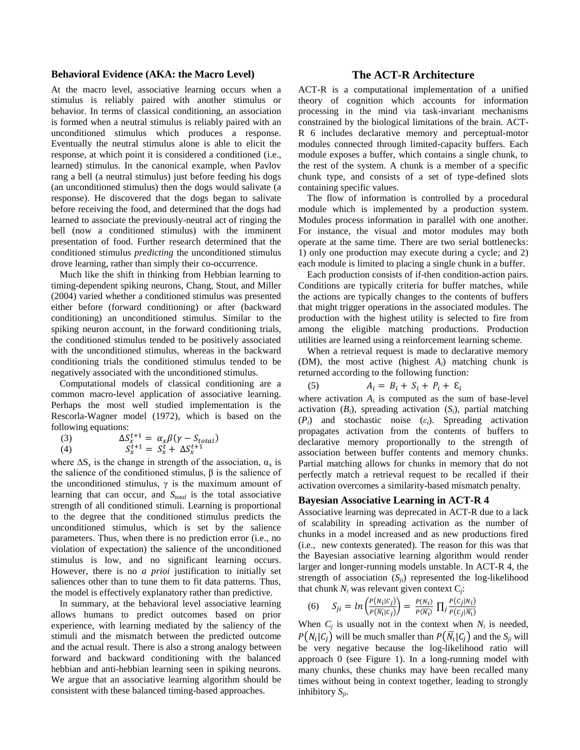### **Behavioral Evidence (AKA: the Macro Level)**

At the macro level, associative learning occurs when a stimulus is reliably paired with another stimulus or behavior. In terms of classical conditioning, an association is formed when a neutral stimulus is reliably paired with an unconditioned stimulus which produces a response. Eventually the neutral stimulus alone is able to elicit the response, at which point it is considered a conditioned (i.e., learned) stimulus. In the canonical example, when Pavlov rang a bell (a neutral stimulus) just before feeding his dogs (an unconditioned stimulus) then the dogs would salivate (a response). He discovered that the dogs began to salivate before receiving the food, and determined that the dogs had learned to associate the previously-neutral act of ringing the bell (now a conditioned stimulus) with the imminent presentation of food. Further research determined that the conditioned stimulus *predicting* the unconditioned stimulus drove learning, rather than simply their co-occurrence.

Much like the shift in thinking from Hebbian learning to timing-dependent spiking neurons, Chang, Stout, and Miller (2004) varied whether a conditioned stimulus was presented either before (forward conditioning) or after (backward conditioning) an unconditioned stimulus. Similar to the spiking neuron account, in the forward conditioning trials, the conditioned stimulus tended to be positively associated with the unconditioned stimulus, whereas in the backward conditioning trials the conditioned stimulus tended to be negatively associated with the unconditioned stimulus.

Computational models of classical conditioning are a common macro-level application of associative learning. Perhaps the most well studied implementation is the Rescorla-Wagner model (1972), which is based on the following equations:

(3) 
$$
\Delta S_x^{t+1} = \alpha_x \beta (\gamma - S_{total})
$$
  
(4) 
$$
S_x^{t+1} = S_x^t + \Delta S_x^{t+1}
$$

where  $\Delta S_x$  is the change in strength of the association,  $\alpha_x$  is the salience of the conditioned stimulus,  $β$  is the salience of the unconditioned stimulus,  $\gamma$  is the maximum amount of learning that can occur, and *Stotal* is the total associative strength of all conditioned stimuli. Learning is proportional to the degree that the conditioned stimulus predicts the unconditioned stimulus, which is set by the salience parameters. Thus, when there is no prediction error (i.e., no violation of expectation) the salience of the unconditioned stimulus is low, and no significant learning occurs. However, there is no *a prioi* justification to initially set saliences other than to tune them to fit data patterns. Thus, the model is effectively explanatory rather than predictive.

In summary, at the behavioral level associative learning allows humans to predict outcomes based on prior experience, with learning mediated by the saliency of the stimuli and the mismatch between the predicted outcome and the actual result. There is also a strong analogy between forward and backward conditioning with the balanced hebbian and anti-hebbian learning seen in spiking neurons. We argue that an associative learning algorithm should be consistent with these balanced timing-based approaches.

## **The ACT-R Architecture**

ACT-R is a computational implementation of a unified theory of cognition which accounts for information processing in the mind via task-invariant mechanisms constrained by the biological limitations of the brain. ACT-R 6 includes declarative memory and perceptual-motor modules connected through limited-capacity buffers. Each module exposes a buffer, which contains a single chunk, to the rest of the system. A chunk is a member of a specific chunk type, and consists of a set of type-defined slots containing specific values.

The flow of information is controlled by a procedural module which is implemented by a production system. Modules process information in parallel with one another. For instance, the visual and motor modules may both operate at the same time. There are two serial bottlenecks: 1) only one production may execute during a cycle; and 2) each module is limited to placing a single chunk in a buffer.

Each production consists of if-then condition-action pairs. Conditions are typically criteria for buffer matches, while the actions are typically changes to the contents of buffers that might trigger operations in the associated modules. The production with the highest utility is selected to fire from among the eligible matching productions. Production utilities are learned using a reinforcement learning scheme.

When a retrieval request is made to declarative memory (DM), the most active (highest *Ai*) matching chunk is returned according to the following function:

$$
A_i = B_i + S_i + P_i + \varepsilon_i
$$

(5)

where activation  $A_i$  is computed as the sum of base-level activation  $(B_i)$ , spreading activation  $(S_i)$ , partial matching (*Pi*) and stochastic noise (*εi*). Spreading activation propagates activation from the contents of buffers to declarative memory proportionally to the strength of association between buffer contents and memory chunks. Partial matching allows for chunks in memory that do not perfectly match a retrieval request to be recalled if their activation overcomes a similarity-based mismatch penalty.

## **Bayesian Associative Learning in ACT-R 4**

Associative learning was deprecated in ACT-R due to a lack of scalability in spreading activation as the number of chunks in a model increased and as new productions fired (i.e., new contexts generated). The reason for this was that the Bayesian associative learning algorithm would render larger and longer-running models unstable. In ACT-R 4, the strength of association  $(S_{ii})$  represented the log-likelihood that chunk  $N_i$  was relevant given context  $C_j$ :

(6) 
$$
S_{ji} = \ln \left( \frac{P(N_i|C_j)}{P(\overline{N_i}|C_j)} \right) = \frac{P(N_i)}{P(\overline{N_i})} \prod_j \frac{P(C_j|N_i)}{P(C_j|\overline{N_i})}
$$

When  $C_j$  is usually not in the context when  $N_i$  is needed,  $P(N_i | C_j)$  will be much smaller than  $P(\overline{N}_i | C_j)$  and the  $S_{ji}$  will be very negative because the log-likelihood ratio will approach 0 (see [Figure 1\)](#page-2-0). In a long-running model with many chunks, these chunks may have been recalled many times without being in context together, leading to strongly inhibitory *Sji*.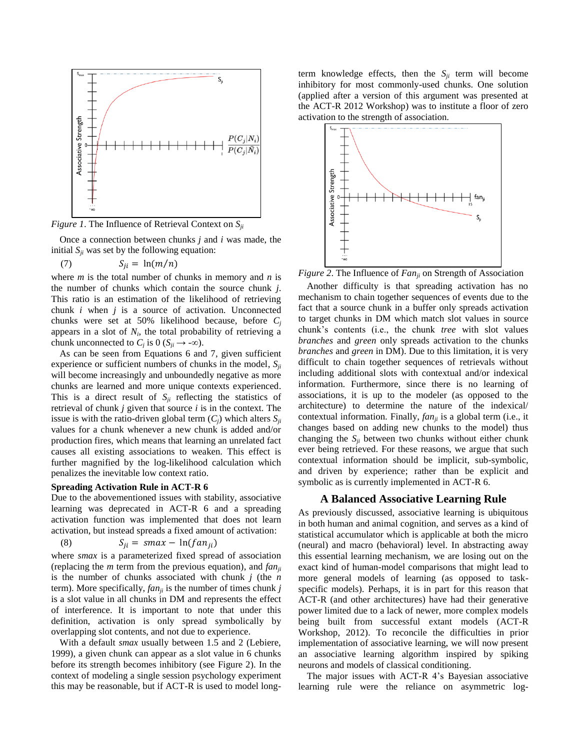

<span id="page-2-0"></span>*Figure 1*. The Influence of Retrieval Context on *Sji*

Once a connection between chunks *j* and *i* was made, the initial  $S_{ii}$  was set by the following equation:

$$
(7) \tS_{ii} = \ln(m/n)
$$

where *m* is the total number of chunks in memory and *n* is the number of chunks which contain the source chunk *j*. This ratio is an estimation of the likelihood of retrieving chunk *i* when *j* is a source of activation. Unconnected chunks were set at 50% likelihood because, before *C<sup>j</sup>* appears in a slot of  $N_i$ , the total probability of retrieving a chunk unconnected to  $C_j$  is 0 ( $S_{ji} \rightarrow -\infty$ ).

As can be seen from Equations 6 and 7, given sufficient experience or sufficient numbers of chunks in the model, *Sji* will become increasingly and unboundedly negative as more chunks are learned and more unique contexts experienced. This is a direct result of  $S_{ii}$  reflecting the statistics of retrieval of chunk *j* given that source *i* is in the context. The issue is with the ratio-driven global term  $(C_i)$  which alters  $S_{ii}$ values for a chunk whenever a new chunk is added and/or production fires, which means that learning an unrelated fact causes all existing associations to weaken. This effect is further magnified by the log-likelihood calculation which penalizes the inevitable low context ratio.

#### **Spreading Activation Rule in ACT-R 6**

Due to the abovementioned issues with stability, associative learning was deprecated in ACT-R 6 and a spreading activation function was implemented that does not learn activation, but instead spreads a fixed amount of activation:

$$
(8) \tS_{ji} = smax - ln(fan_{ji})
$$

where *smax* is a parameterized fixed spread of association (replacing the *m* term from the previous equation), and *fanji* is the number of chunks associated with chunk *j* (the *n* term). More specifically, *fanji* is the number of times chunk *j* is a slot value in all chunks in DM and represents the effect of interference. It is important to note that under this definition, activation is only spread symbolically by overlapping slot contents, and not due to experience.

With a default *smax* usually between 1.5 and 2 (Lebiere, 1999), a given chunk can appear as a slot value in 6 chunks before its strength becomes inhibitory (see [Figure 2\)](#page-2-1). In the context of modeling a single session psychology experiment this may be reasonable, but if ACT-R is used to model longterm knowledge effects, then the  $S_{ii}$  term will become inhibitory for most commonly-used chunks. One solution (applied after a version of this argument was presented at the ACT-R 2012 Workshop) was to institute a floor of zero activation to the strength of association.



<span id="page-2-1"></span>*Figure 2*. The Influence of *Fanji* on Strength of Association

Another difficulty is that spreading activation has no mechanism to chain together sequences of events due to the fact that a source chunk in a buffer only spreads activation to target chunks in DM which match slot values in source chunk's contents (i.e., the chunk *tree* with slot values *branches* and *green* only spreads activation to the chunks *branches* and *green* in DM). Due to this limitation, it is very difficult to chain together sequences of retrievals without including additional slots with contextual and/or indexical information. Furthermore, since there is no learning of associations, it is up to the modeler (as opposed to the architecture) to determine the nature of the indexical/ contextual information. Finally, *fanji* is a global term (i.e., it changes based on adding new chunks to the model) thus changing the *Sji* between two chunks without either chunk ever being retrieved. For these reasons, we argue that such contextual information should be implicit, sub-symbolic, and driven by experience; rather than be explicit and symbolic as is currently implemented in ACT-R 6.

## **A Balanced Associative Learning Rule**

As previously discussed, associative learning is ubiquitous in both human and animal cognition, and serves as a kind of statistical accumulator which is applicable at both the micro (neural) and macro (behavioral) level. In abstracting away this essential learning mechanism, we are losing out on the exact kind of human-model comparisons that might lead to more general models of learning (as opposed to taskspecific models). Perhaps, it is in part for this reason that ACT-R (and other architectures) have had their generative power limited due to a lack of newer, more complex models being built from successful extant models (ACT-R Workshop, 2012). To reconcile the difficulties in prior implementation of associative learning, we will now present an associative learning algorithm inspired by spiking neurons and models of classical conditioning.

The major issues with ACT-R 4's Bayesian associative learning rule were the reliance on asymmetric log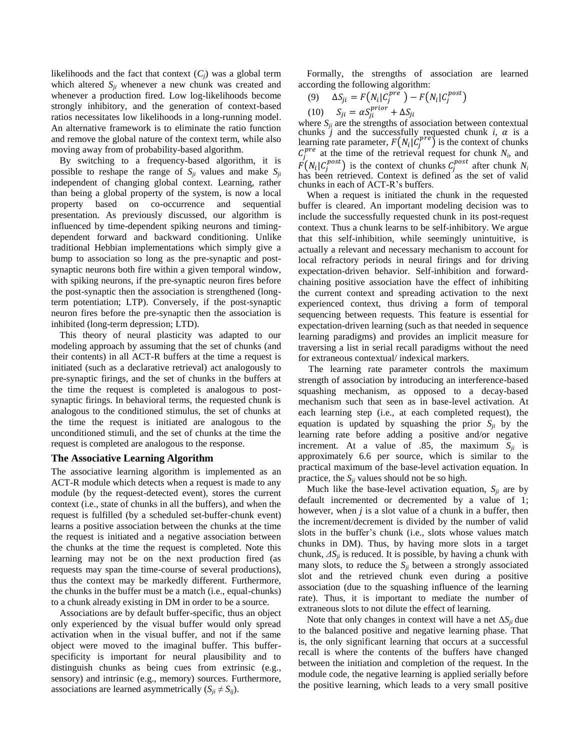likelihoods and the fact that context  $(C_i)$  was a global term which altered  $S_{ii}$  whenever a new chunk was created and whenever a production fired. Low log-likelihoods become strongly inhibitory, and the generation of context-based ratios necessitates low likelihoods in a long-running model. An alternative framework is to eliminate the ratio function and remove the global nature of the context term, while also moving away from of probability-based algorithm.

By switching to a frequency-based algorithm, it is possible to reshape the range of  $S_{ii}$  values and make  $S_{ii}$ independent of changing global context. Learning, rather than being a global property of the system, is now a local property based on co-occurrence and sequential presentation. As previously discussed, our algorithm is influenced by time-dependent spiking neurons and timingdependent forward and backward conditioning. Unlike traditional Hebbian implementations which simply give a bump to association so long as the pre-synaptic and postsynaptic neurons both fire within a given temporal window, with spiking neurons, if the pre-synaptic neuron fires before the post-synaptic then the association is strengthened (longterm potentiation; LTP). Conversely, if the post-synaptic neuron fires before the pre-synaptic then the association is inhibited (long-term depression; LTD).

This theory of neural plasticity was adapted to our modeling approach by assuming that the set of chunks (and their contents) in all ACT-R buffers at the time a request is initiated (such as a declarative retrieval) act analogously to pre-synaptic firings, and the set of chunks in the buffers at the time the request is completed is analogous to postsynaptic firings. In behavioral terms, the requested chunk is analogous to the conditioned stimulus, the set of chunks at the time the request is initiated are analogous to the unconditioned stimuli, and the set of chunks at the time the request is completed are analogous to the response.

## **The Associative Learning Algorithm**

The associative learning algorithm is implemented as an ACT-R module which detects when a request is made to any module (by the request-detected event), stores the current context (i.e., state of chunks in all the buffers), and when the request is fulfilled (by a scheduled set-buffer-chunk event) learns a positive association between the chunks at the time the request is initiated and a negative association between the chunks at the time the request is completed. Note this learning may not be on the next production fired (as requests may span the time-course of several productions), thus the context may be markedly different. Furthermore, the chunks in the buffer must be a match (i.e., equal-chunks) to a chunk already existing in DM in order to be a source.

Associations are by default buffer-specific, thus an object only experienced by the visual buffer would only spread activation when in the visual buffer, and not if the same object were moved to the imaginal buffer. This bufferspecificity is important for neural plausibility and to distinguish chunks as being cues from extrinsic (e.g., sensory) and intrinsic (e.g., memory) sources. Furthermore, associations are learned asymmetrically  $(S_{ii} \neq S_{ii})$ .

Formally, the strengths of association are learned according the following algorithm:

(9) 
$$
\Delta S_{ji} = F(N_i|C_j^{pre}) - F(N_i|C_j^{post})
$$
  
(10) 
$$
S_{ii} = \alpha S_{ii}^{prior} + \Delta S_{ii}
$$

where  $S_{ji}$  are the strengths of association between contextual chunks *j* and the successfully requested chunk *i*,  $\alpha$  is a learning rate parameter,  $F(N_i | C_i^{pre})$  is the context of chunks  $C_i^{pre}$  at the time of the retrieval request for chunk  $N_i$ , and  $F(N_i | C_i^{post})$  is the context of chunks  $C_i^{post}$  after chunk  $N_i$ has been retrieved. Context is defined as the set of valid chunks in each of ACT-R's buffers.

When a request is initiated the chunk in the requested buffer is cleared. An important modeling decision was to include the successfully requested chunk in its post-request context. Thus a chunk learns to be self-inhibitory. We argue that this self-inhibition, while seemingly unintuitive, is actually a relevant and necessary mechanism to account for local refractory periods in neural firings and for driving expectation-driven behavior. Self-inhibition and forwardchaining positive association have the effect of inhibiting the current context and spreading activation to the next experienced context, thus driving a form of temporal sequencing between requests. This feature is essential for expectation-driven learning (such as that needed in sequence learning paradigms) and provides an implicit measure for traversing a list in serial recall paradigms without the need for extraneous contextual/ indexical markers.

The learning rate parameter controls the maximum strength of association by introducing an interference-based squashing mechanism, as opposed to a decay-based mechanism such that seen as in base-level activation. At each learning step (i.e., at each completed request), the equation is updated by squashing the prior  $S_{ii}$  by the learning rate before adding a positive and/or negative increment. At a value of .85, the maximum  $S_{ji}$  is approximately 6.6 per source, which is similar to the practical maximum of the base-level activation equation. In practice, the  $S_{ji}$  values should not be so high.

Much like the base-level activation equation,  $S_{ii}$  are by default incremented or decremented by a value of 1; however, when *j* is a slot value of a chunk in a buffer, then the increment/decrement is divided by the number of valid slots in the buffer's chunk (i.e., slots whose values match chunks in DM). Thus, by having more slots in a target chunk,  $\Delta S_{ii}$  is reduced. It is possible, by having a chunk with many slots, to reduce the  $S_{ji}$  between a strongly associated slot and the retrieved chunk even during a positive association (due to the squashing influence of the learning rate). Thus, it is important to mediate the number of extraneous slots to not dilute the effect of learning.

Note that only changes in context will have a net  $\Delta S_{ii}$  due to the balanced positive and negative learning phase. That is, the only significant learning that occurs at a successful recall is where the contents of the buffers have changed between the initiation and completion of the request. In the module code, the negative learning is applied serially before the positive learning, which leads to a very small positive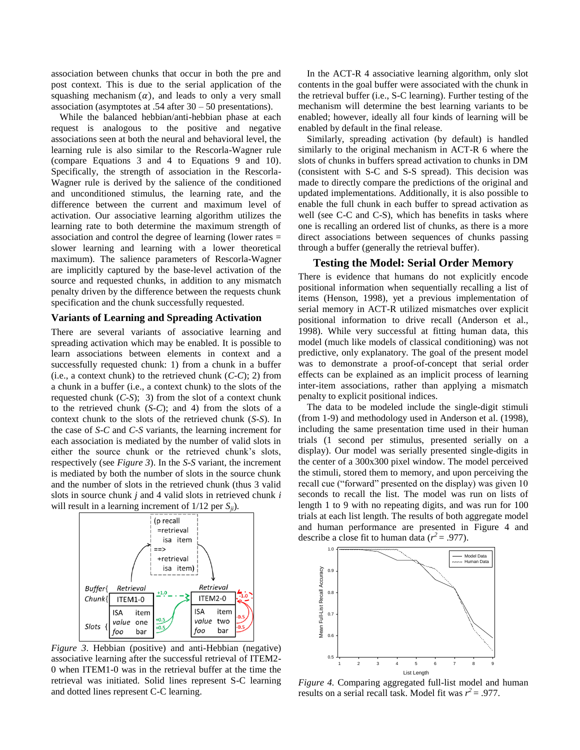association between chunks that occur in both the pre and post context. This is due to the serial application of the squashing mechanism  $(\alpha)$ , and leads to only a very small association (asymptotes at .54 after 30 – 50 presentations).

While the balanced hebbian/anti-hebbian phase at each request is analogous to the positive and negative associations seen at both the neural and behavioral level, the learning rule is also similar to the Rescorla-Wagner rule (compare Equations 3 and 4 to Equations 9 and 10). Specifically, the strength of association in the Rescorla-Wagner rule is derived by the salience of the conditioned and unconditioned stimulus, the learning rate, and the difference between the current and maximum level of activation. Our associative learning algorithm utilizes the learning rate to both determine the maximum strength of association and control the degree of learning (lower rates = slower learning and learning with a lower theoretical maximum). The salience parameters of Rescorla-Wagner are implicitly captured by the base-level activation of the source and requested chunks, in addition to any mismatch penalty driven by the difference between the requests chunk specification and the chunk successfully requested.

## **Variants of Learning and Spreading Activation**

There are several variants of associative learning and spreading activation which may be enabled. It is possible to learn associations between elements in context and a successfully requested chunk: 1) from a chunk in a buffer (i.e., a context chunk) to the retrieved chunk (*C-C*); 2) from a chunk in a buffer (i.e., a context chunk) to the slots of the requested chunk (*C-S*); 3) from the slot of a context chunk to the retrieved chunk (*S-C*); and 4) from the slots of a context chunk to the slots of the retrieved chunk (*S-S*). In the case of *S-C* and *C-S* variants, the learning increment for each association is mediated by the number of valid slots in either the source chunk or the retrieved chunk's slots, respectively (see *[Figure 3](#page-4-0)*). In the *S-S* variant, the increment is mediated by both the number of slots in the source chunk and the number of slots in the retrieved chunk (thus 3 valid slots in source chunk *j* and 4 valid slots in retrieved chunk *i* will result in a learning increment of 1/12 per *Sji*).



<span id="page-4-0"></span>*Figure 3*. Hebbian (positive) and anti-Hebbian (negative) associative learning after the successful retrieval of ITEM2- 0 when ITEM1-0 was in the retrieval buffer at the time the retrieval was initiated. Solid lines represent S-C learning and dotted lines represent C-C learning.

In the ACT-R 4 associative learning algorithm, only slot contents in the goal buffer were associated with the chunk in the retrieval buffer (i.e., S-C learning). Further testing of the mechanism will determine the best learning variants to be enabled; however, ideally all four kinds of learning will be enabled by default in the final release.

Similarly, spreading activation (by default) is handled similarly to the original mechanism in ACT-R 6 where the slots of chunks in buffers spread activation to chunks in DM (consistent with S-C and S-S spread). This decision was made to directly compare the predictions of the original and updated implementations. Additionally, it is also possible to enable the full chunk in each buffer to spread activation as well (see C-C and C-S), which has benefits in tasks where one is recalling an ordered list of chunks, as there is a more direct associations between sequences of chunks passing through a buffer (generally the retrieval buffer).

## **Testing the Model: Serial Order Memory**

There is evidence that humans do not explicitly encode positional information when sequentially recalling a list of items (Henson, 1998), yet a previous implementation of serial memory in ACT-R utilized mismatches over explicit positional information to drive recall (Anderson et al., 1998). While very successful at fitting human data, this model (much like models of classical conditioning) was not predictive, only explanatory. The goal of the present model was to demonstrate a proof-of-concept that serial order effects can be explained as an implicit process of learning inter-item associations, rather than applying a mismatch penalty to explicit positional indices.

The data to be modeled include the single-digit stimuli (from 1-9) and methodology used in Anderson et al. (1998), including the same presentation time used in their human trials (1 second per stimulus, presented serially on a display). Our model was serially presented single-digits in the center of a 300x300 pixel window. The model perceived the stimuli, stored them to memory, and upon perceiving the recall cue ("forward" presented on the display) was given 10 seconds to recall the list. The model was run on lists of length 1 to 9 with no repeating digits, and was run for 100 trials at each list length. The results of both aggregate model and human performance are presented in [Figure 4](#page-4-1) and describe a close fit to human data ( $r^2$  = .977).



<span id="page-4-1"></span>*Figure 4.* Comparing aggregated full-list model and human results on a serial recall task. Model fit was  $r^2 = .977$ .